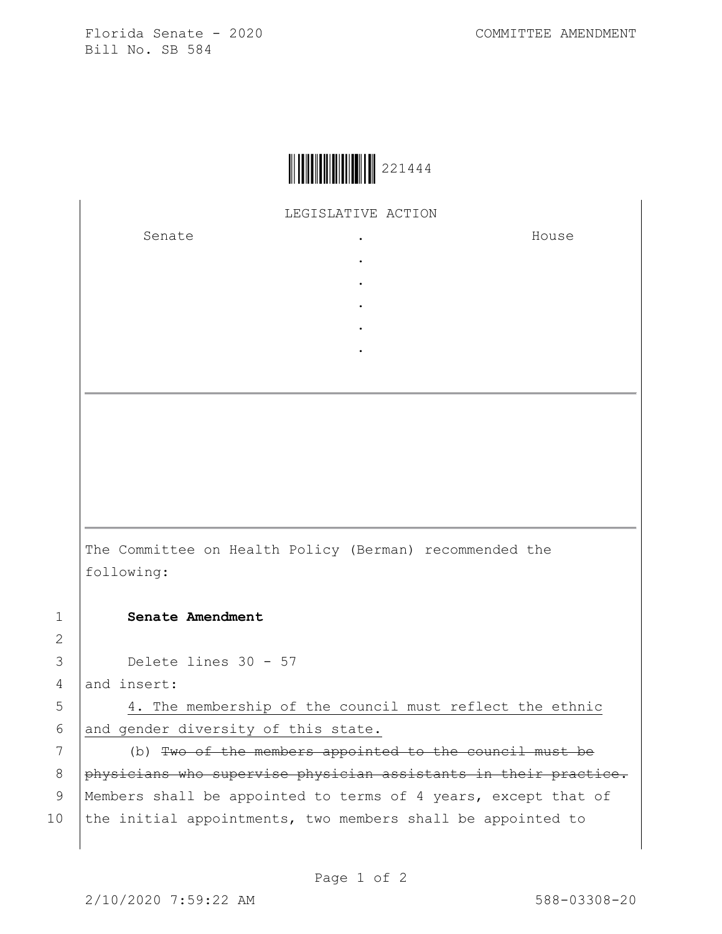Florida Senate - 2020 COMMITTEE AMENDMENT Bill No. SB 584



LEGISLATIVE ACTION

. . . . .

Senate .

House

The Committee on Health Policy (Berman) recommended the following:

## 1 **Senate Amendment**

3 Delete lines 30 - 57

4 and insert:

5 4. The membership of the council must reflect the ethnic 6 and gender diversity of this state.

7 (b) Two of the members appointed to the council must be 8 physicians who supervise physician assistants in their practice. 9 | Members shall be appointed to terms of 4 years, except that of 10 the initial appointments, two members shall be appointed to

2